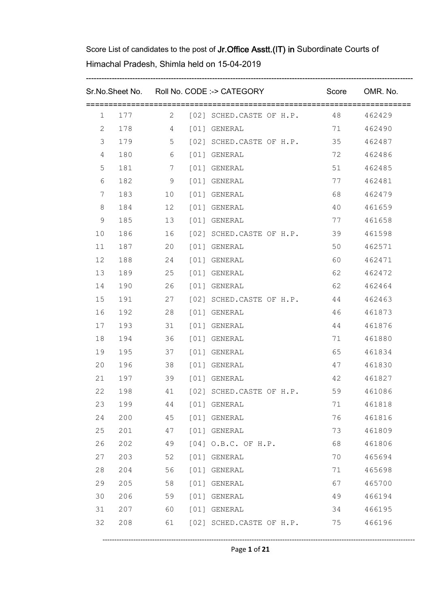|    |     |    |        | Sr.No.Sheet No. Roll No. CODE :-> CATEGORY |       | Score OMR. No. |
|----|-----|----|--------|--------------------------------------------|-------|----------------|
|    |     |    |        | 1 177 2 [02] SCHED.CASTE OF H.P. 48 462429 |       |                |
| 2  |     |    |        | 178    4    [01] GENERAL                   | 71    | 462490         |
| 3  |     |    |        | 179 5 [02] SCHED.CASTE OF H.P. 35          |       | 462487         |
| 4  | 180 |    |        | 6 [01] GENERAL                             | 72    | 462486         |
| 5  |     |    |        | 181 7 [01] GENERAL                         | 51    | 462485         |
| 6  | 182 |    |        | 9 [01] GENERAL                             | 77    | 462481         |
| 7  | 183 |    |        | 10 [01] GENERAL                            | 68 1  | 462479         |
| 8  | 184 |    |        | 12 [01] GENERAL                            | 40    | 461659         |
| 9  | 185 |    |        | 13 [01] GENERAL                            | 77    | 461658         |
| 10 | 186 |    |        | 16 [02] SCHED.CASTE OF H.P.                | 39    | 461598         |
| 11 | 187 |    |        | 20 [01] GENERAL                            | 50    | 462571         |
| 12 | 188 |    |        | 24 [01] GENERAL                            | 60 0  | 462471         |
| 13 | 189 |    |        | 25 [01] GENERAL                            | 62 11 | 462472         |
| 14 | 190 |    |        | 26 [01] GENERAL                            | 62 0  | 462464         |
| 15 | 191 |    |        | 27 [02] SCHED.CASTE OF H.P. 44             |       | 462463         |
| 16 | 192 |    |        | 28 [01] GENERAL                            | 46    | 461873         |
| 17 | 193 |    |        | 31 [01] GENERAL                            | 44    | 461876         |
| 18 | 194 |    |        | 36 [01] GENERAL                            | 71    | 461880         |
| 19 | 195 |    |        | 37 [01] GENERAL                            | 65    | 461834         |
| 20 | 196 |    |        | 38 [01] GENERAL                            | 47    | 461830         |
| 21 | 197 |    |        | 39 [01] GENERAL                            | 42    | 461827         |
| 22 | 198 |    |        | 41 [02] SCHED.CASTE OF H.P. 59             |       | 461086         |
| 23 | 199 | 44 |        | [01] GENERAL                               | 71    | 461818         |
| 24 | 200 | 45 |        | [01] GENERAL                               | 76    | 461816         |
| 25 | 201 | 47 |        | [01] GENERAL                               | 73    | 461809         |
| 26 | 202 | 49 |        | [04] O.B.C. OF H.P.                        | 68    | 461806         |
| 27 | 203 | 52 | [01]   | GENERAL                                    | 70    | 465694         |
| 28 | 204 | 56 | $[01]$ | GENERAL                                    | 71    | 465698         |
| 29 | 205 | 58 |        | [01] GENERAL                               | 67    | 465700         |
| 30 | 206 | 59 |        | [01] GENERAL                               | 49    | 466194         |
| 31 | 207 | 60 |        | [01] GENERAL                               | 34    | 466195         |
| 32 | 208 | 61 |        | [02] SCHED.CASTE OF H.P.                   | 75    | 466196         |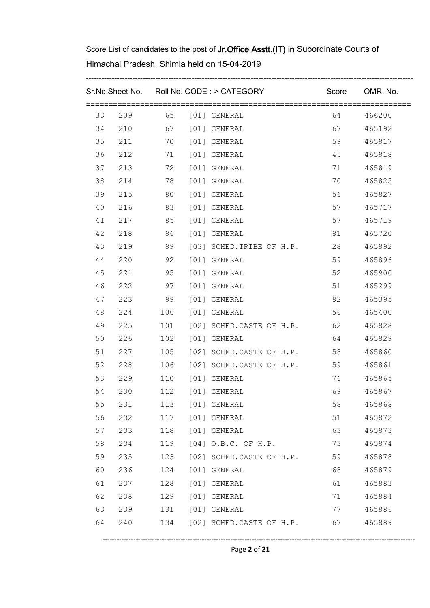|    |     |     | Sr.No.Sheet No. Roll No. CODE :-> CATEGORY Score OMR. No. |         |           |
|----|-----|-----|-----------------------------------------------------------|---------|-----------|
|    |     |     | 33  209  65  [01] GENERAL                                 |         | 64 466200 |
| 34 |     |     | 210 67 [01] GENERAL                                       | 67 — 10 | 465192    |
| 35 | 211 |     | 70 [01] GENERAL                                           | 59      | 465817    |
| 36 | 212 |     | 71 [01] GENERAL                                           | 45      | 465818    |
| 37 | 213 |     | 72 [01] GENERAL                                           | 71      | 465819    |
| 38 | 214 |     | 78 [01] GENERAL                                           | 70      | 465825    |
| 39 | 215 |     | 80 [01] GENERAL                                           | 56 10   | 465827    |
| 40 | 216 |     | 83 [01] GENERAL                                           | 57      | 465717    |
| 41 | 217 |     | 85 [01] GENERAL                                           | 57      | 465719    |
| 42 | 218 |     | 86 [01] GENERAL                                           | 81      | 465720    |
| 43 | 219 |     | 89 [03] SCHED.TRIBE OF H.P.                               | 28      | 465892    |
| 44 | 220 |     | 92 [01] GENERAL                                           | 59      | 465896    |
| 45 | 221 |     | 95 [01] GENERAL                                           | 52 3    | 465900    |
| 46 | 222 |     | 97 [01] GENERAL                                           | 51      | 465299    |
| 47 | 223 |     | 99 [01] GENERAL                                           | 82      | 465395    |
| 48 |     |     | 224 100 [01] GENERAL                                      | 56 0    | 465400    |
| 49 | 225 |     | 101 [02] SCHED.CASTE OF H.P. 62                           |         | 465828    |
| 50 | 226 |     | 102 [01] GENERAL                                          | 64      | 465829    |
| 51 | 227 |     | 105 [02] SCHED.CASTE OF H.P. 58                           |         | 465860    |
| 52 | 228 |     | 106 [02] SCHED.CASTE OF H.P.                              | 59      | 465861    |
| 53 | 229 |     | 110 [01] GENERAL                                          | 76      | 465865    |
| 54 | 230 |     | 112 [01] GENERAL                                          | 69 — 10 | 465867    |
| 55 | 231 | 113 | [01] GENERAL                                              | 58      | 465868    |
| 56 | 232 | 117 | [01] GENERAL                                              | 51      | 465872    |
| 57 | 233 | 118 | [01] GENERAL                                              | 63      | 465873    |
| 58 | 234 | 119 | $[04]$ O.B.C. OF H.P.                                     | 73      | 465874    |
| 59 | 235 | 123 | [02] SCHED.CASTE OF H.P.                                  | 59      | 465878    |
| 60 | 236 | 124 | [01] GENERAL                                              | 68      | 465879    |
| 61 | 237 | 128 | [01] GENERAL                                              | 61      | 465883    |
| 62 | 238 | 129 | [01] GENERAL                                              | 71      | 465884    |
| 63 | 239 | 131 | [01] GENERAL                                              | 77      | 465886    |
| 64 | 240 | 134 | [02] SCHED.CASTE OF H.P.                                  | 67      | 465889    |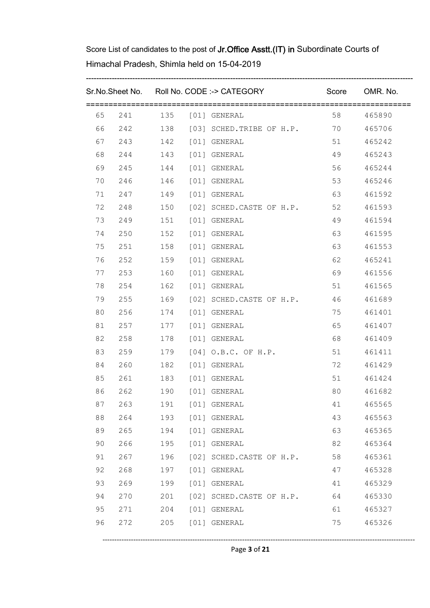|    |     |     | Sr.No.Sheet No. Roll No. CODE :-> CATEGORY |         | Score OMR. No. |
|----|-----|-----|--------------------------------------------|---------|----------------|
| 65 |     |     | 241 135 [01] GENERAL                       |         | 58 465890      |
| 66 |     |     | 242 138 [03] SCHED.TRIBE OF H.P. 70        |         | 465706         |
| 67 |     |     | 243 142 [01] GENERAL                       | 51      | 465242         |
| 68 | 244 |     | 143 [01] GENERAL                           | 49      | 465243         |
| 69 |     |     | 245 144 [01] GENERAL                       | 56 0    | 465244         |
| 70 | 246 |     | 146 [01] GENERAL                           | 53      | 465246         |
| 71 |     |     | 247 149 [01] GENERAL                       | 63      | 461592         |
| 72 | 248 |     | 150 [02] SCHED.CASTE OF H.P.               | 52      | 461593         |
| 73 |     |     | 249 151 [01] GENERAL                       | 49      | 461594         |
| 74 | 250 |     | 152 [01] GENERAL                           | 63 — 10 | 461595         |
| 75 | 251 |     | 158 [01] GENERAL                           | 63 — 10 | 461553         |
| 76 | 252 |     | 159 [01] GENERAL                           | 62 6    | 465241         |
| 77 | 253 |     | 160 [01] GENERAL                           | 69      | 461556         |
| 78 | 254 |     | 162 [01] GENERAL                           | 51      | 461565         |
| 79 | 255 |     | 169 [02] SCHED.CASTE OF H.P. 46            |         | 461689         |
| 80 |     |     | 256 174 [01] GENERAL                       | 75      | 461401         |
| 81 |     |     | 257 177 [01] GENERAL                       | 65      | 461407         |
| 82 | 258 |     | 178 [01] GENERAL                           | 68 — 10 | 461409         |
| 83 | 259 |     | 179 [04] O.B.C. OF H.P.                    | 51      | 461411         |
| 84 | 260 |     | 182 [01] GENERAL                           | 72      | 461429         |
| 85 |     |     | 261 183 [01] GENERAL                       | 51      | 461424         |
| 86 |     |     | 262 190 [01] GENERAL                       | 80 0    | 461682         |
| 87 | 263 | 191 | [01] GENERAL                               | 41      | 465565         |
| 88 | 264 | 193 | [01] GENERAL                               | 43      | 465563         |
| 89 | 265 | 194 | [01] GENERAL                               | 63      | 465365         |
| 90 | 266 | 195 | [01] GENERAL                               | 82      | 465364         |
| 91 | 267 | 196 | [02] SCHED.CASTE OF H.P.                   | 58      | 465361         |
| 92 | 268 | 197 | [01] GENERAL                               | 47      | 465328         |
| 93 | 269 | 199 | [01] GENERAL                               | 41      | 465329         |
| 94 | 270 | 201 | [02] SCHED.CASTE OF H.P.                   | 64      | 465330         |
| 95 | 271 | 204 | [01] GENERAL                               | 61      | 465327         |
| 96 | 272 | 205 | [01] GENERAL                               | 75      | 465326         |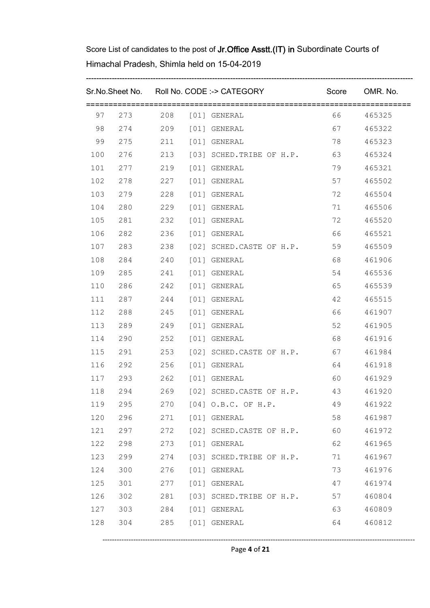|     |                      |     | Sr.No.Sheet No. Roll No. CODE :-> CATEGORY |         | Score OMR. No. |
|-----|----------------------|-----|--------------------------------------------|---------|----------------|
| 97  |                      |     | 273 208 [01] GENERAL                       | 66 — 10 | 465325         |
| 98  |                      |     | 274 209 [01] GENERAL                       | 67 — 10 | 465322         |
| 99  |                      |     | 275 211 [01] GENERAL                       | 78      | 465323         |
| 100 |                      |     | 276 213 [03] SCHED.TRIBE OF H.P. 63        |         | 465324         |
| 101 | 277 219 [01] GENERAL |     |                                            | 79      | 465321         |
| 102 |                      |     |                                            | 57      | 465502         |
| 103 | 279 228 [01] GENERAL |     |                                            | 72      | 465504         |
| 104 | 280                  |     | 229 [01] GENERAL                           | 71      | 465506         |
| 105 |                      |     | 281 232 [01] GENERAL                       | 72      | 465520         |
| 106 | 282                  | 236 | [01] GENERAL                               | 66 10   | 465521         |
| 107 |                      |     | 283 238 [02] SCHED.CASTE OF H.P.           | 59      | 465509         |
| 108 | 284 240 [01] GENERAL |     |                                            | 68 — 10 | 461906         |
| 109 | 285 241 [01] GENERAL |     |                                            | 54 7    | 465536         |
| 110 | 286 242 [01] GENERAL |     |                                            | 65      | 465539         |
| 111 |                      |     | 287 244 [01] GENERAL                       | 42      | 465515         |
| 112 | 288 245 [01] GENERAL |     |                                            | 66 10   | 461907         |
| 113 |                      |     |                                            | 52      | 461905         |
| 114 | 290 252 [01] GENERAL |     |                                            | 68   10 | 461916         |
| 115 |                      |     | 291 253 [02] SCHED.CASTE OF H.P. 67        |         | 461984         |
| 116 |                      |     |                                            | 64 64   | 461918         |
| 117 |                      |     |                                            | 60 00   | 461929         |
| 118 |                      |     | 294 269 [02] SCHED.CASTE OF H.P.           | 43      | 461920         |
| 119 | 295                  | 270 | $[04]$ O.B.C. OF H.P.                      | 49      | 461922         |
| 120 | 296                  | 271 | [01] GENERAL                               | 58      | 461987         |
| 121 | 297                  | 272 | [02] SCHED.CASTE OF H.P.                   | 60      | 461972         |
| 122 | 298                  | 273 | [01] GENERAL                               | 62      | 461965         |
| 123 | 299                  | 274 | [03] SCHED. TRIBE OF H.P.                  | 71      | 461967         |
| 124 | 300                  | 276 | [01] GENERAL                               | 73      | 461976         |
| 125 | 301                  | 277 | [01] GENERAL                               | 47      | 461974         |
| 126 | 302                  | 281 | [03] SCHED. TRIBE OF H.P.                  | 57      | 460804         |
| 127 | 303                  | 284 | [01] GENERAL                               | 63      | 460809         |
| 128 | 304                  | 285 | [01] GENERAL                               | 64      | 460812         |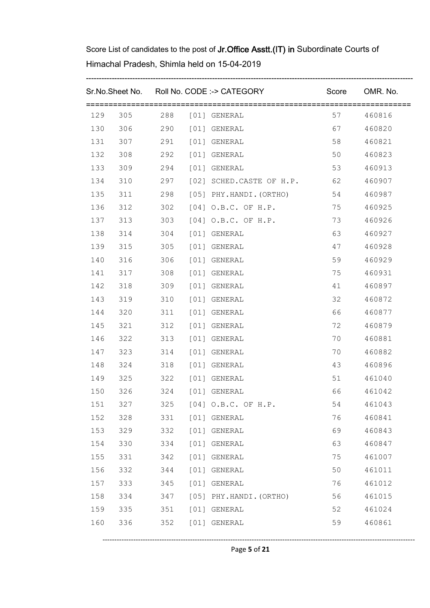|     |                      |     |      | Sr.No.Sheet No. Roll No. CODE :-> CATEGORY |         | Score OMR. No. |
|-----|----------------------|-----|------|--------------------------------------------|---------|----------------|
| 129 |                      |     |      | 305 288 [01] GENERAL                       | 57 — 10 | 460816         |
| 130 |                      |     |      | 306 290 [01] GENERAL                       | 67 — 10 | 460820         |
| 131 |                      |     |      | 307 291 [01] GENERAL                       | 58      | 460821         |
| 132 | 308                  |     |      | 292 [01] GENERAL                           | 50      | 460823         |
| 133 |                      |     |      | 309 294 [01] GENERAL                       | 53      | 460913         |
| 134 | 310                  |     |      | 297 [02] SCHED.CASTE OF H.P. 62            |         | 460907         |
| 135 |                      |     |      | 311 298 [05] PHY.HANDI.(ORTHO) 54          |         | 460987         |
| 136 | 312                  |     |      | 302 [04] O.B.C. OF H.P.                    | 75      | 460925         |
| 137 | 313                  |     |      | 303 [04] O.B.C. OF H.P.                    | 73      | 460926         |
| 138 | 314                  | 304 |      | [01] GENERAL                               | 63      | 460927         |
| 139 | 315                  |     |      | 305 [01] GENERAL                           | 47      | 460928         |
| 140 | 316                  | 306 |      | [01] GENERAL                               | 59      | 460929         |
| 141 | 317                  | 308 |      | [01] GENERAL                               | 75      | 460931         |
| 142 | 318                  | 309 |      | [01] GENERAL                               | 41      | 460897         |
| 143 | 319                  |     |      | 310 [01] GENERAL                           | 32      | 460872         |
| 144 | 320                  |     |      | 311 [01] GENERAL                           | 66 10   | 460877         |
| 145 | 321                  |     |      | 312 [01] GENERAL                           | 72      | 460879         |
| 146 | 322                  |     |      | 313 [01] GENERAL                           | 70      | 460881         |
| 147 | 323                  | 314 |      | [01] GENERAL                               | 70      | 460882         |
| 148 | 324 318 [01] GENERAL |     |      |                                            | 43      | 460896         |
| 149 | 325                  |     |      | 322 [01] GENERAL                           | 51      | 461040         |
| 150 | 326                  |     |      | 324 [01] GENERAL                           | 66 10   | 461042         |
| 151 | 327                  | 325 |      | [04] O.B.C. OF H.P.                        | 54      | 461043         |
| 152 | 328                  | 331 |      | [01] GENERAL                               | 76      | 460841         |
| 153 | 329                  | 332 | [01] | GENERAL                                    | 69      | 460843         |
| 154 | 330                  | 334 | [01] | GENERAL                                    | 63      | 460847         |
| 155 | 331                  | 342 | [01] | GENERAL                                    | 75      | 461007         |
| 156 | 332                  | 344 | [01] | GENERAL                                    | 50      | 461011         |
| 157 | 333                  | 345 | [01] | GENERAL                                    | 76      | 461012         |
| 158 | 334                  | 347 |      | [05] PHY.HANDI. (ORTHO)                    | 56      | 461015         |
| 159 | 335                  | 351 |      | [01] GENERAL                               | 52      | 461024         |
| 160 | 336                  | 352 |      | [01] GENERAL                               | 59      | 460861         |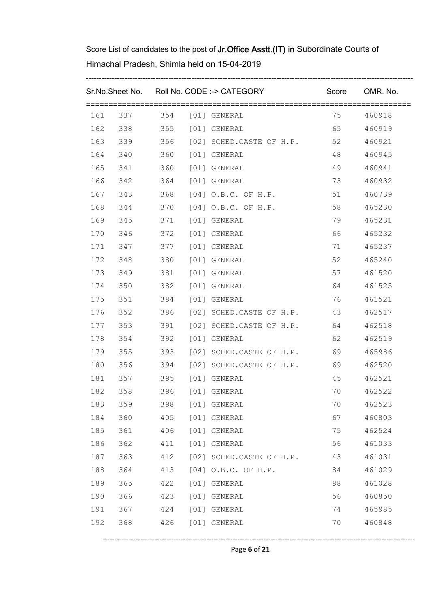|     |                          |     |      | Sr.No.Sheet No. Roll No. CODE :-> CATEGORY |         | Score OMR. No. |
|-----|--------------------------|-----|------|--------------------------------------------|---------|----------------|
| 161 |                          |     |      |                                            | 75      | 460918         |
| 162 |                          |     |      | 338 355 [01] GENERAL                       | 65      | 460919         |
| 163 |                          |     |      | 339 356 [02] SCHED.CASTE OF H.P. 52        |         | 460921         |
| 164 | 340                      |     |      | 360 [01] GENERAL                           | 48      | 460945         |
| 165 |                          |     |      | 341 360 [01] GENERAL                       | 49      | 460941         |
| 166 | 342                      |     |      | 364 [01] GENERAL                           | 73      | 460932         |
| 167 |                          |     |      | 343 368 [04] O.B.C. OF H.P.                | 51      | 460739         |
| 168 | 344                      |     |      | 370 [04] O.B.C. OF H.P.                    | 58      | 465230         |
| 169 |                          |     |      | 345 371 [01] GENERAL                       | 79      | 465231         |
| 170 | 346                      |     |      | 372 [01] GENERAL                           | 66 — 10 | 465232         |
| 171 |                          |     |      | 347 377 [01] GENERAL                       | 71      | 465237         |
| 172 | 348                      |     |      | 380 [01] GENERAL                           | 52      | 465240         |
| 173 | 349 381 [01] GENERAL     |     |      |                                            |         | 461520         |
| 174 | 350                      |     |      | 382 [01] GENERAL                           | 64 64   | 461525         |
| 175 |                          |     |      |                                            | 76      | 461521         |
| 176 |                          |     |      | 352 386 [02] SCHED.CASTE OF H.P.           | 43      | 462517         |
| 177 |                          |     |      | 353 391 [02] SCHED.CASTE OF H.P. 64        |         | 462518         |
| 178 |                          |     |      | 354 392 [01] GENERAL                       | 62      | 462519         |
| 179 |                          |     |      | 355 393 [02] SCHED.CASTE OF H.P. 69        |         | 465986         |
| 180 |                          |     |      | 356 394 [02] SCHED.CASTE OF H.P. 69        |         | 462520         |
| 181 |                          |     |      | 357 395 [01] GENERAL                       | 45      | 462521         |
|     | 182 358 396 [01] GENERAL |     |      |                                            | 70      | 462522         |
| 183 | 359                      | 398 |      | [01] GENERAL                               | 70      | 462523         |
| 184 | 360                      | 405 |      | [01] GENERAL                               | 67      | 460803         |
| 185 | 361                      | 406 |      | [01] GENERAL                               | 75      | 462524         |
| 186 | 362                      | 411 | [01] | GENERAL                                    | 56      | 461033         |
| 187 | 363                      | 412 |      | [02] SCHED.CASTE OF H.P.                   | 43      | 461031         |
| 188 | 364                      | 413 | [04] | O.B.C. OF H.P.                             | 84      | 461029         |
| 189 | 365                      | 422 | [01] | GENERAL                                    | 88      | 461028         |
| 190 | 366                      | 423 | [01] | GENERAL                                    | 56      | 460850         |
| 191 | 367                      | 424 |      | [01] GENERAL                               | 74      | 465985         |
| 192 | 368                      | 426 |      | [01] GENERAL                               | 70      | 460848         |

Page **6** of **21**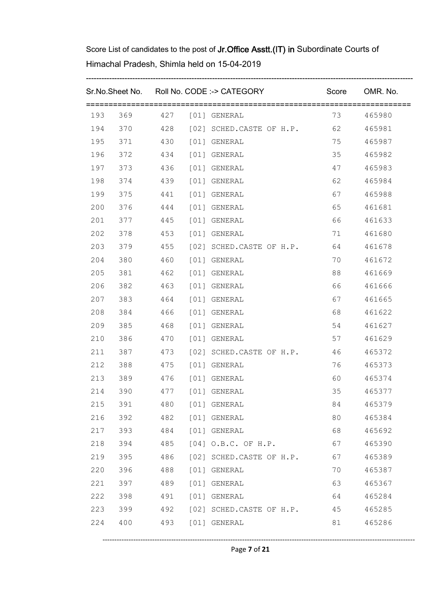|     |                            |     |      | Sr.No.Sheet No. Roll No. CODE :-> CATEGORY          | Score OMR. No. |           |
|-----|----------------------------|-----|------|-----------------------------------------------------|----------------|-----------|
|     |                            |     |      | 193 369 427 [01] GENERAL                            |                | 73 465980 |
| 194 |                            |     |      | 370 			 428 		 [02] SCHED.CASTE OF H.P. 								 62 |                | 465981    |
| 195 |                            |     |      | 371 430 [01] GENERAL                                | 75             | 465987    |
| 196 |                            |     |      | 372    434    [01] GENERAL                          | 35             | 465982    |
| 197 |                            |     |      | 373    436    [01] GENERAL                          | 47             | 465983    |
| 198 | 374    439    [01] GENERAL |     |      |                                                     | 62 6           | 465984    |
| 199 |                            |     |      | 375 441 [01] GENERAL                                | 67 — 10        | 465988    |
| 200 | 376                        |     |      | 444 [01] GENERAL                                    | 65 10          | 461681    |
| 201 |                            |     |      | 377 445 [01] GENERAL                                | 66 10          | 461633    |
| 202 | 378                        |     |      | 453 [01] GENERAL                                    | 71             | 461680    |
| 203 |                            |     |      | 379 		 455 	 [02] SCHED.CASTE OF H.P.               | 64             | 461678    |
| 204 | 380                        |     |      | 460 [01] GENERAL                                    | 70             | 461672    |
| 205 | 381                        |     |      | 462 [01] GENERAL                                    | 88 3           | 461669    |
| 206 | 382                        |     |      | 463 [01] GENERAL                                    | 66 10          | 461666    |
| 207 | 383    464    [01] GENERAL |     |      |                                                     | 67 — 10        | 461665    |
| 208 | 384 466 [01] GENERAL       |     |      |                                                     | 68   10        | 461622    |
| 209 | 385                        |     |      | 468 [01] GENERAL                                    | 54             | 461627    |
| 210 | 386                        |     |      | 470 [01] GENERAL                                    | 57             | 461629    |
| 211 | 387                        |     |      | 473 [02] SCHED.CASTE OF H.P.                        | 46             | 465372    |
| 212 |                            |     |      |                                                     | 76             | 465373    |
| 213 | 389                        |     |      | 476 [01] GENERAL                                    | 60 0           | 465374    |
| 214 | 390                        |     |      | 477 [01] GENERAL                                    | 35             | 465377    |
| 215 | 391                        | 480 |      | [01] GENERAL                                        | 84             | 465379    |
| 216 | 392                        | 482 |      | [01] GENERAL                                        | 80             | 465384    |
| 217 | 393                        | 484 |      | [01] GENERAL                                        | 68             | 465692    |
| 218 | 394                        | 485 |      | $[04]$ O.B.C. OF H.P.                               | 67             | 465390    |
| 219 | 395                        | 486 |      | [02] SCHED.CASTE OF H.P.                            | 67             | 465389    |
| 220 | 396                        | 488 | [01] | GENERAL                                             | 70             | 465387    |
| 221 | 397                        | 489 |      | [01] GENERAL                                        | 63             | 465367    |
| 222 | 398                        | 491 |      | [01] GENERAL                                        | 64             | 465284    |
| 223 | 399                        | 492 |      | [02] SCHED.CASTE OF H.P.                            | 45             | 465285    |
| 224 | 400                        | 493 |      | [01] GENERAL                                        | 81             | 465286    |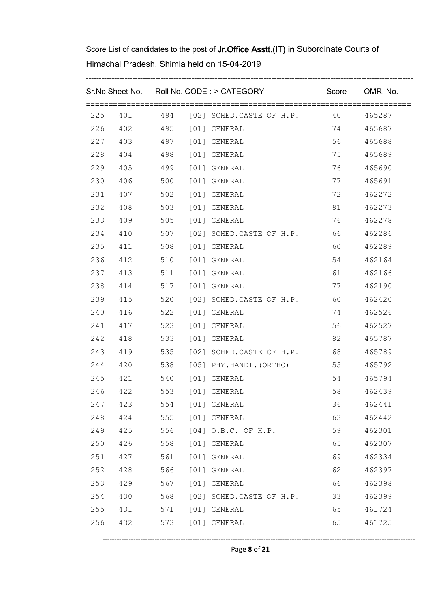|     |     |     | Sr.No.Sheet No. Roll No. CODE :-> CATEGORY Score OMR. No. |       |           |
|-----|-----|-----|-----------------------------------------------------------|-------|-----------|
|     |     |     | 225 401 494 [02] SCHED.CASTE OF H.P. 40 465287            |       |           |
|     |     |     | 226  402  495  [01] GENERAL                               | 74    | 465687    |
|     |     |     | 227  403  497  [01] GENERAL                               | 56 10 | 465688    |
| 228 |     |     | 404   498   [01] GENERAL                                  | 75    | 465689    |
| 229 |     |     |                                                           | 76    | 465690    |
| 230 |     |     | 406 500 [01] GENERAL                                      | 77    | 465691    |
| 231 |     |     | 407 502 [01] GENERAL                                      | 72    | 462272    |
| 232 | 408 |     | 503 [01] GENERAL                                          | 81    | 462273    |
| 233 |     |     | 409 505 [01] GENERAL                                      | 76    | 462278    |
| 234 | 410 |     | 507 [02] SCHED.CASTE OF H.P. 66                           |       | 462286    |
| 235 |     |     | 411 508 [01] GENERAL                                      | 60 0  | 462289    |
| 236 |     |     | 412 510 [01] GENERAL                                      | 54 7  | 462164    |
| 237 |     |     | 413 511 [01] GENERAL                                      | 61    | 462166    |
| 238 |     |     | 414 517 [01] GENERAL                                      | 77    | 462190    |
| 239 |     |     | 415 520 [02] SCHED.CASTE OF H.P. 60                       |       | 462420    |
| 240 |     |     | 416 522 [01] GENERAL                                      | 74    | 462526    |
| 241 |     |     | 417 523 [01] GENERAL                                      | 56 0  | 462527    |
| 242 |     |     | 418 533 [01] GENERAL                                      | 82    | 465787    |
| 243 |     |     | 419 535 [02] SCHED.CASTE OF H.P. 68                       |       | 465789    |
|     |     |     | 244  420  538  [05] PHY.HANDI. (ORTHO)                    | 55    | 465792    |
| 245 |     |     | 421 540 [01] GENERAL                                      | 54    | 465794    |
| 246 |     |     | 422 553 [01] GENERAL                                      |       | 58 462439 |
| 247 | 423 | 554 | [01] GENERAL                                              | 36    | 462441    |
| 248 | 424 | 555 | [01] GENERAL                                              | 63    | 462442    |
| 249 | 425 | 556 | [04] O.B.C. OF H.P.                                       | 59    | 462301    |
| 250 | 426 | 558 | [01] GENERAL                                              | 65    | 462307    |
| 251 | 427 | 561 | [01] GENERAL                                              | 69    | 462334    |
| 252 | 428 | 566 | [01] GENERAL                                              | 62    | 462397    |
| 253 | 429 | 567 | [01] GENERAL                                              | 66    | 462398    |
| 254 | 430 | 568 | [02] SCHED.CASTE OF H.P.                                  | 33    | 462399    |
| 255 | 431 | 571 | [01] GENERAL                                              | 65    | 461724    |
| 256 | 432 | 573 | [01] GENERAL                                              | 65    | 461725    |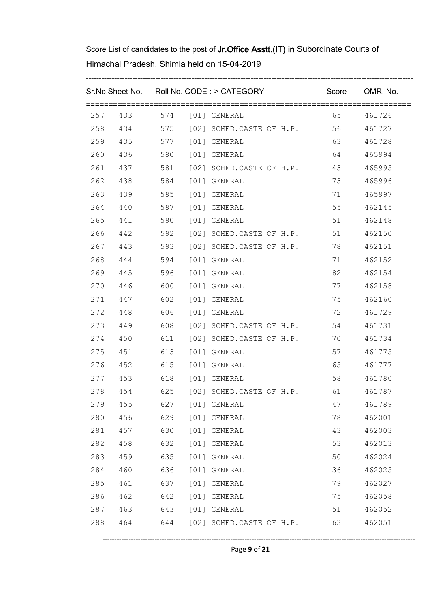|     |         |     |      | Sr.No.Sheet No. Roll No. CODE :-> CATEGORY Score OMR. No. |       |           |
|-----|---------|-----|------|-----------------------------------------------------------|-------|-----------|
|     |         |     |      | 257 433 574 [01] GENERAL                                  |       | 65 461726 |
|     |         |     |      | 258 434 575 [02] SCHED.CASTE OF H.P. 56                   |       | 461727    |
|     |         |     |      | 259 435 577 [01] GENERAL                                  | 63    | 461728    |
| 260 |         |     |      | 436 580 [01] GENERAL                                      | 64 64 | 465994    |
|     |         |     |      | 261 437 581 [02] SCHED.CASTE OF H.P. 43                   |       | 465995    |
| 262 | 438     |     |      | 584 [01] GENERAL                                          | 73    | 465996    |
|     |         |     |      | 263 439 585 [01] GENERAL                                  | 71    | 465997    |
| 264 | 440     |     |      | 587 [01] GENERAL                                          | 55    | 462145    |
| 265 |         |     |      | 441 590 [01] GENERAL                                      | 51    | 462148    |
| 266 |         |     |      | 442 592 [02] SCHED.CASTE OF H.P. 51                       |       | 462150    |
|     |         |     |      | 267 443 593 [02] SCHED.CASTE OF H.P. 78                   |       | 462151    |
| 268 |         |     |      | 444 594 [01] GENERAL                                      | 71    | 462152    |
| 269 |         |     |      | 445 596 [01] GENERAL                                      | 82    | 462154    |
|     |         |     |      | 270  446  600  [01] GENERAL                               | 77    | 462158    |
|     |         |     |      | 271  447  602  [01] GENERAL                               | 75    | 462160    |
|     | 272 448 |     |      | 606 [01] GENERAL                                          | 72    | 461729    |
| 273 |         |     |      | 449 608 [02] SCHED.CASTE OF H.P.                          | 54    | 461731    |
|     |         |     |      | 274 450 611 [02] SCHED.CASTE OF H.P.                      | 70    | 461734    |
| 275 |         |     |      | 451 613 [01] GENERAL                                      | 57    | 461775    |
|     |         |     |      | 276 452 615 [01] GENERAL                                  | 65 10 | 461777    |
|     |         |     |      | 277 453 618 [01] GENERAL                                  | 58    | 461780    |
|     |         |     |      | 278 454 625 [02] SCHED.CASTE OF H.P. 61 461787            |       |           |
| 279 | 455     | 627 |      | [01] GENERAL                                              | 47    | 461789    |
| 280 | 456     | 629 |      | [01] GENERAL                                              | 78    | 462001    |
| 281 | 457     | 630 |      | [01] GENERAL                                              | 43    | 462003    |
| 282 | 458     | 632 | [01] | GENERAL                                                   | 53    | 462013    |
| 283 | 459     | 635 | [01] | GENERAL                                                   | 50    | 462024    |
| 284 | 460     | 636 | [01] | GENERAL                                                   | 36    | 462025    |
| 285 | 461     | 637 | [01] | GENERAL                                                   | 79    | 462027    |
| 286 | 462     | 642 | [01] | GENERAL                                                   | 75    | 462058    |
| 287 | 463     | 643 |      | [01] GENERAL                                              | 51    | 462052    |
| 288 | 464     | 644 |      | [02] SCHED.CASTE OF H.P.                                  | 63    | 462051    |

Page **9** of **21**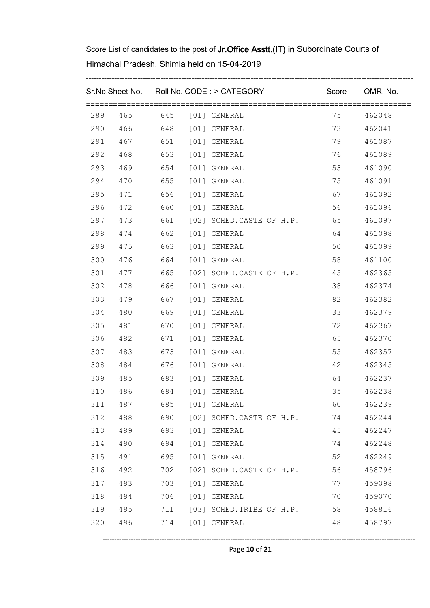|     |         |     | Sr.No.Sheet No. Roll No. CODE :-> CATEGORY | Score OMR. No. |        |
|-----|---------|-----|--------------------------------------------|----------------|--------|
| 289 |         |     |                                            | 75             | 462048 |
| 290 |         |     | 466 648 [01] GENERAL                       | 73             | 462041 |
| 291 |         |     | 467 651 [01] GENERAL                       | 79             | 461087 |
| 292 | 468     |     | 653 [01] GENERAL                           | 76 — 76        | 461089 |
| 293 | 469     |     | 654 [01] GENERAL                           | 53             | 461090 |
| 294 | 470     |     | 655 [01] GENERAL                           | 75             | 461091 |
| 295 |         |     | 471 656 [01] GENERAL                       | 67 — 10        | 461092 |
| 296 | 472     |     | 660 [01] GENERAL                           | 56 0           | 461096 |
| 297 |         |     | 473 661 [02] SCHED.CASTE OF H.P. 65        |                | 461097 |
| 298 | 474     |     | 662 [01] GENERAL                           | 64 — 10        | 461098 |
| 299 |         |     | 475 663 [01] GENERAL                       | 50             | 461099 |
| 300 | 476     |     | 664 [01] GENERAL                           | 58             | 461100 |
| 301 |         |     | 477 665 [02] SCHED.CASTE OF H.P. 45        |                | 462365 |
| 302 | 478 666 |     | [01] GENERAL                               | 38             | 462374 |
| 303 |         |     | 479 667 [01] GENERAL                       | 82             | 462382 |
| 304 | 480     | 669 | [01] GENERAL                               | 33             | 462379 |
| 305 | 481     |     | 670 [01] GENERAL                           | 72             | 462367 |
| 306 | 482     |     | 671 [01] GENERAL                           | 65             | 462370 |
| 307 | 483     |     | 673 [01] GENERAL                           | 55             | 462357 |
| 308 |         |     | 484 676 [01] GENERAL                       | 42             | 462345 |
| 309 | 485     |     | 683 [01] GENERAL                           | 64 64          | 462237 |
| 310 | 486     |     | 684 [01] GENERAL                           | $35 -$         | 462238 |
| 311 | 487     | 685 | [01] GENERAL                               | 60             | 462239 |
| 312 | 488     | 690 | [02] SCHED.CASTE OF H.P.                   | 74             | 462244 |
| 313 | 489     | 693 | [01] GENERAL                               | 45             | 462247 |
| 314 | 490     | 694 | [01] GENERAL                               | 74             | 462248 |
| 315 | 491     | 695 | [01] GENERAL                               | 52             | 462249 |
| 316 | 492     | 702 | [02] SCHED.CASTE OF H.P.                   | 56             | 458796 |
| 317 | 493     | 703 | [01] GENERAL                               | 77             | 459098 |
| 318 | 494     | 706 | [01] GENERAL                               | 70             | 459070 |
| 319 | 495     | 711 | [03] SCHED. TRIBE OF H.P.                  | 58             | 458816 |
| 320 | 496     | 714 | [01] GENERAL                               | 48             | 458797 |
|     |         |     |                                            |                |        |

Page **10** of **21**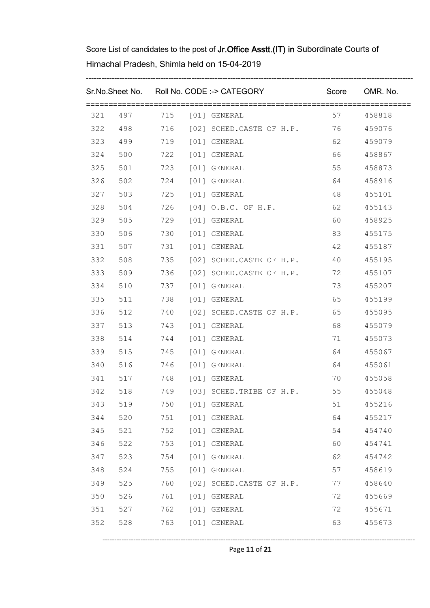|     |     |     |      | Sr.No.Sheet No. Roll No. CODE :-> CATEGORY |         | Score OMR. No. |
|-----|-----|-----|------|--------------------------------------------|---------|----------------|
|     |     |     |      | 321 497 715 [01] GENERAL                   |         | 57 458818      |
|     |     |     |      | 322 498 716 [02] SCHED.CASTE OF H.P. 76    |         | 459076         |
|     |     |     |      | 323  499  719  [01] GENERAL                | 62 11   | 459079         |
| 324 | 500 |     |      | 722 [01] GENERAL                           | 66 10   | 458867         |
| 325 |     |     |      | 501 723 [01] GENERAL                       | 55      | 458873         |
| 326 | 502 |     |      | 724 [01] GENERAL                           | 64 64   | 458916         |
| 327 |     |     |      | 503 725 [01] GENERAL                       | 48      | 455101         |
| 328 | 504 |     |      | 726 [04] O.B.C. OF H.P.                    | 62      | 455143         |
| 329 | 505 |     |      | 729 [01] GENERAL                           | 60 0    | 458925         |
| 330 | 506 | 730 |      | [01] GENERAL                               | 83      | 455175         |
| 331 | 507 |     |      | 731 [01] GENERAL                           | 42      | 455187         |
| 332 | 508 |     |      | 735 [02] SCHED.CASTE OF H.P.               | 40      | 455195         |
| 333 | 509 |     |      | 736 [02] SCHED.CASTE OF H.P.               | 72      | 455107         |
| 334 | 510 |     |      | 737 [01] GENERAL                           | 73      | 455207         |
| 335 | 511 |     |      | 738 [01] GENERAL                           | 65      | 455199         |
| 336 |     |     |      | 512 740 [02] SCHED.CASTE OF H.P.           | 65      | 455095         |
| 337 | 513 |     |      | 743 [01] GENERAL                           | 68   10 | 455079         |
| 338 |     |     |      | 514 744 [01] GENERAL                       | 71      | 455073         |
| 339 |     |     |      | 515 745 [01] GENERAL                       | 64 64   | 455067         |
| 340 |     |     |      | 516 746 [01] GENERAL                       | 64 64   | 455061         |
|     |     |     |      | 341 517 748 [01] GENERAL                   | 70      | 455058         |
|     |     |     |      | 342 518 749 [03] SCHED.TRIBE OF H.P.       |         | 55 455048      |
| 343 | 519 | 750 |      | [01] GENERAL                               | 51      | 455216         |
| 344 | 520 | 751 |      | [01] GENERAL                               | 64      | 455217         |
| 345 | 521 | 752 |      | [01] GENERAL                               | 54      | 454740         |
| 346 | 522 | 753 | [01] | GENERAL                                    | 60      | 454741         |
| 347 | 523 | 754 | [01] | GENERAL                                    | 62      | 454742         |
| 348 | 524 | 755 | [01] | GENERAL                                    | 57      | 458619         |
| 349 | 525 | 760 |      | [02] SCHED.CASTE OF H.P.                   | 77      | 458640         |
| 350 | 526 | 761 | [01] | GENERAL                                    | 72      | 455669         |
| 351 | 527 | 762 |      | [01] GENERAL                               | 72      | 455671         |
| 352 | 528 | 763 |      | [01] GENERAL                               | 63      | 455673         |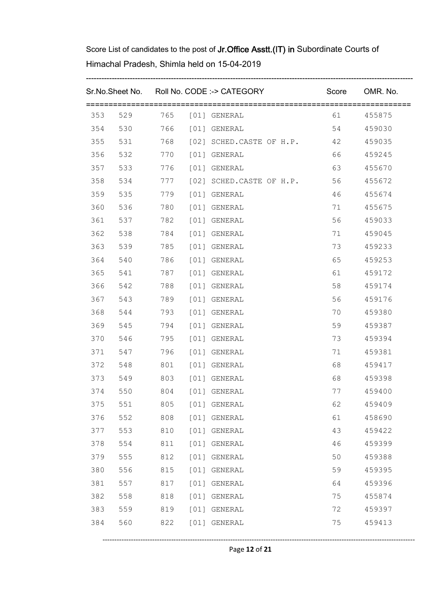|     |     |     |      | Sr.No.Sheet No. Roll No. CODE :-> CATEGORY |         | Score OMR. No. |
|-----|-----|-----|------|--------------------------------------------|---------|----------------|
| 353 |     |     |      | 529 765 [01] GENERAL                       | 61 — 10 | 455875         |
| 354 |     |     |      | 530 766 [01] GENERAL                       | 54      | 459030         |
| 355 | 531 |     |      | 768 [02] SCHED.CASTE OF H.P. 42            |         | 459035         |
| 356 | 532 |     |      | 770 [01] GENERAL                           | 66 10   | 459245         |
| 357 | 533 |     |      | 776 [01] GENERAL                           | 63 0    | 455670         |
| 358 | 534 |     |      | 777 [02] SCHED.CASTE OF H.P.               | 56      | 455672         |
| 359 | 535 |     |      | 779 [01] GENERAL                           | 46      | 455674         |
| 360 | 536 | 780 |      | [01] GENERAL                               | 71      | 455675         |
| 361 | 537 |     |      | 782 [01] GENERAL                           | 56 10   | 459033         |
| 362 | 538 | 784 |      | [01] GENERAL                               | 71      | 459045         |
| 363 | 539 |     |      | 785 [01] GENERAL                           | 73      | 459233         |
| 364 | 540 | 786 |      | [01] GENERAL                               | 65      | 459253         |
| 365 | 541 |     |      | 787 [01] GENERAL                           | 61 0    | 459172         |
| 366 | 542 | 788 |      | [01] GENERAL                               | 58      | 459174         |
| 367 | 543 | 789 |      | [01] GENERAL                               | 56 10   | 459176         |
| 368 | 544 | 793 |      | [01] GENERAL                               | 70      | 459380         |
| 369 | 545 | 794 |      | [01] GENERAL                               | 59      | 459387         |
| 370 | 546 | 795 |      | [01] GENERAL                               | 73      | 459394         |
| 371 | 547 | 796 |      | [01] GENERAL                               | 71      | 459381         |
| 372 | 548 | 801 |      | [01] GENERAL                               | 68 — 10 | 459417         |
| 373 | 549 | 803 |      | [01] GENERAL                               | 68      | 459398         |
| 374 | 550 |     |      | 804 [01] GENERAL                           | 77 — 17 | 459400         |
| 375 | 551 | 805 |      | [01] GENERAL                               | 62      | 459409         |
| 376 | 552 | 808 | [01] | GENERAL                                    | 61      | 458690         |
| 377 | 553 | 810 | [01] | GENERAL                                    | 43      | 459422         |
| 378 | 554 | 811 | [01] | GENERAL                                    | 46      | 459399         |
| 379 | 555 | 812 | [01] | GENERAL                                    | 50      | 459388         |
| 380 | 556 | 815 | [01] | GENERAL                                    | 59      | 459395         |
| 381 | 557 | 817 | [01] | GENERAL                                    | 64      | 459396         |
| 382 | 558 | 818 | [01] | GENERAL                                    | 75      | 455874         |
| 383 | 559 | 819 | [01] | GENERAL                                    | 72      | 459397         |
| 384 | 560 | 822 | [01] | GENERAL                                    | 75      | 459413         |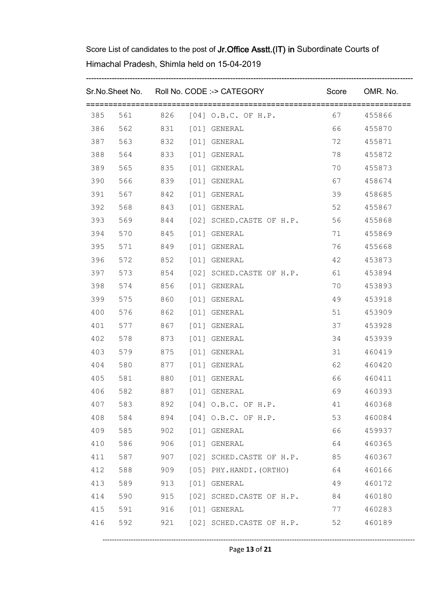|     |                      |     | Sr.No.Sheet No. Roll No. CODE :-> CATEGORY |         | Score OMR. No. |
|-----|----------------------|-----|--------------------------------------------|---------|----------------|
| 385 |                      |     | 561 826 [04] O.B.C. OF H.P. 67 455866      |         |                |
| 386 |                      |     | 562 831 [01] GENERAL                       | 66 10   | 455870         |
| 387 |                      |     | 563 832 [01] GENERAL                       | 72      | 455871         |
| 388 | 564                  |     | 833 [01] GENERAL                           | 78      | 455872         |
| 389 |                      |     | 565 835 [01] GENERAL                       | 70      | 455873         |
| 390 | 566                  | 839 | [01] GENERAL                               | 67 — 10 | 458674         |
| 391 |                      |     | 567 842 [01] GENERAL                       | 39      | 458685         |
| 392 | 568                  |     | 843 [01] GENERAL                           | 52      | 455867         |
| 393 | 569                  |     | 844 [02] SCHED.CASTE OF H.P. 56            |         | 455868         |
| 394 | 570                  | 845 | [01] GENERAL                               | 71      | 455869         |
| 395 | 571 849              |     | [01] GENERAL                               | 76      | 455668         |
| 396 | 572                  |     | 852 [01] GENERAL                           | 42      | 453873         |
| 397 |                      |     | 573 854 [02] SCHED.CASTE OF H.P. 61        |         | 453894         |
| 398 |                      |     | 574 856 [01] GENERAL                       | 70      | 453893         |
| 399 | 575 860 [01] GENERAL |     |                                            | 49      | 453918         |
| 400 | 576 862 [01] GENERAL |     |                                            | 51      | 453909         |
| 401 | 577 867 [01] GENERAL |     |                                            | 37      | 453928         |
| 402 | 578 873 [01] GENERAL |     |                                            | 34      | 453939         |
| 403 | 579                  | 875 | [01] GENERAL                               | 31      | 460419         |
| 404 | 580                  |     | 877 [01] GENERAL                           | 62 11   | 460420         |
| 405 | 581                  |     | 880 [01] GENERAL                           | 66 10   | 460411         |
| 406 | 582 887 [01] GENERAL |     |                                            | 69      | 460393         |
| 407 | 583                  | 892 | $[04]$ O.B.C. OF H.P.                      | 41      | 460368         |
| 408 | 584                  | 894 | $[04]$ O.B.C. OF H.P.                      | 53      | 460084         |
| 409 | 585                  | 902 | [01] GENERAL                               | 66      | 459937         |
| 410 | 586                  | 906 | [01] GENERAL                               | 64      | 460365         |
| 411 | 587                  | 907 | [02] SCHED.CASTE OF H.P.                   | 85      | 460367         |
| 412 | 588                  | 909 | [05] PHY.HANDI. (ORTHO)                    | 64      | 460166         |
| 413 | 589                  | 913 | [01] GENERAL                               | 49      | 460172         |
| 414 | 590                  | 915 | [02] SCHED.CASTE OF H.P.                   | 84      | 460180         |
| 415 | 591                  | 916 | [01] GENERAL                               | 77      | 460283         |
| 416 | 592                  | 921 | [02] SCHED.CASTE OF H.P.                   | 52      | 460189         |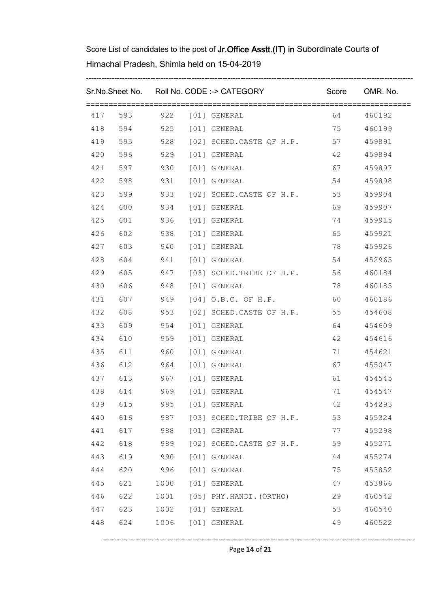|     |     |      |      | Sr.No.Sheet No. Roll No. CODE :-> CATEGORY |         | Score OMR. No. |
|-----|-----|------|------|--------------------------------------------|---------|----------------|
|     |     |      |      |                                            |         |                |
|     |     |      |      | 417 593 922 [01] GENERAL                   |         | 64 460192      |
|     |     |      |      | 418 594 925 [01] GENERAL                   | 75      | 460199         |
|     |     |      |      | 419 595 928 [02] SCHED.CASTE OF H.P. 57    |         | 459891         |
|     |     |      |      | 420 596 929 [01] GENERAL                   | 42      | 459894         |
|     |     |      |      | 421 597 930 [01] GENERAL                   | 67 — 10 | 459897         |
| 422 | 598 |      |      | 931 [01] GENERAL                           | 54      | 459898         |
| 423 |     |      |      | 599 933 [02] SCHED.CASTE OF H.P. 53        |         | 459904         |
| 424 | 600 |      |      | 934 [01] GENERAL                           | 69      | 459907         |
| 425 |     |      |      | 601 936 [01] GENERAL                       | 74      | 459915         |
| 426 | 602 |      |      | 938 [01] GENERAL                           | 65 0    | 459921         |
| 427 |     |      |      | 603 940 [01] GENERAL                       | 78      | 459926         |
| 428 |     |      |      | 604 941 [01] GENERAL                       | 54      | 452965         |
| 429 |     |      |      | 605 947 [03] SCHED.TRIBE OF H.P.           | 56      | 460184         |
| 430 |     |      |      | 606 948 [01] GENERAL                       | 78      | 460185         |
| 431 |     |      |      | 607 949 [04] O.B.C. OF H.P.                | 60      | 460186         |
| 432 | 608 |      |      | 953 [02] SCHED.CASTE OF H.P.               | 55      | 454608         |
| 433 |     |      |      | 609 954 [01] GENERAL                       | 64 64   | 454609         |
| 434 |     |      |      | 610 959 [01] GENERAL                       | 42      | 454616         |
| 435 | 611 |      |      | 960 [01] GENERAL                           | 71      | 454621         |
| 436 |     |      |      | 612 964 [01] GENERAL                       | 67 — 10 | 455047         |
|     |     |      |      | 437 613 967 [01] GENERAL                   | 61 — 10 | 454545         |
| 438 |     |      |      | 614 969 [01] GENERAL                       |         | 71 454547      |
| 439 | 615 | 985  |      | [01] GENERAL                               | 42      | 454293         |
| 440 | 616 | 987  |      | [03] SCHED. TRIBE OF H.P.                  | 53      | 455324         |
| 441 | 617 | 988  |      | [01] GENERAL                               | 77      | 455298         |
| 442 | 618 | 989  |      | [02] SCHED.CASTE OF H.P.                   | 59      | 455271         |
| 443 | 619 | 990  | [01] | GENERAL                                    | 44      | 455274         |
| 444 | 620 | 996  | [01] | GENERAL                                    | 75      | 453852         |
| 445 | 621 | 1000 |      | [01] GENERAL                               | 47      | 453866         |
| 446 | 622 | 1001 |      | [05] PHY.HANDI. (ORTHO)                    | 29      | 460542         |
| 447 | 623 | 1002 |      | [01] GENERAL                               | 53      | 460540         |
| 448 | 624 | 1006 |      | [01] GENERAL                               | 49      | 460522         |
|     |     |      |      |                                            |         |                |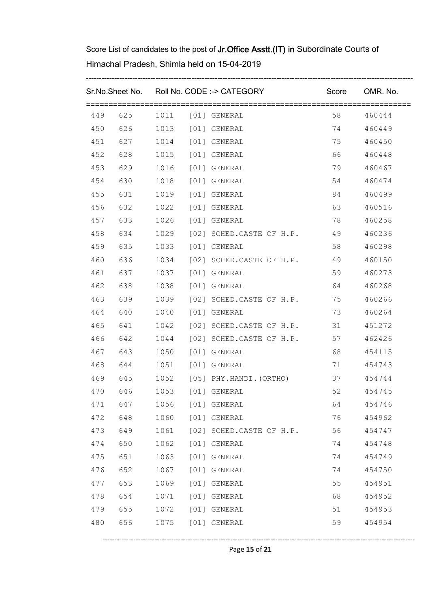| 450<br>452<br>453<br>454<br>455<br>456 | 628<br>630<br>631 1019 [01] GENERAL<br>632<br>634 |      |      | 626 1013 [01] GENERAL<br>451 627 1014 [01] GENERAL<br>1015 [01] GENERAL<br>629 1016 [01] GENERAL<br>1018 [01] GENERAL | 74<br>75<br>66 10<br>79<br>54 7 | 58 460444<br>460449<br>460450<br>460448<br>460467 |
|----------------------------------------|---------------------------------------------------|------|------|-----------------------------------------------------------------------------------------------------------------------|---------------------------------|---------------------------------------------------|
|                                        |                                                   |      |      |                                                                                                                       |                                 |                                                   |
|                                        |                                                   |      |      |                                                                                                                       |                                 |                                                   |
|                                        |                                                   |      |      |                                                                                                                       |                                 |                                                   |
|                                        |                                                   |      |      |                                                                                                                       |                                 |                                                   |
|                                        |                                                   |      |      |                                                                                                                       |                                 |                                                   |
|                                        |                                                   |      |      |                                                                                                                       |                                 | 460474                                            |
|                                        |                                                   |      |      |                                                                                                                       | 84                              | 460499                                            |
|                                        |                                                   |      |      | 1022 [01] GENERAL                                                                                                     | 63                              | 460516                                            |
|                                        |                                                   |      |      | 457 633 1026 [01] GENERAL                                                                                             | 78                              | 460258                                            |
| 458                                    |                                                   |      |      | 1029 [02] SCHED.CASTE OF H.P. 49                                                                                      |                                 | 460236                                            |
| 459                                    | 635                                               |      |      | 1033 [01] GENERAL                                                                                                     | 58                              | 460298                                            |
| 460                                    | 636                                               |      |      | 1034 [02] SCHED.CASTE OF H.P. 49                                                                                      |                                 | 460150                                            |
| 461                                    | 637                                               |      |      | 1037 [01] GENERAL                                                                                                     | 59                              | 460273                                            |
| 462                                    | 638                                               |      |      | 1038 [01] GENERAL                                                                                                     | 64                              | 460268                                            |
| 463                                    | 639                                               |      |      | 1039 [02] SCHED.CASTE OF H.P. 75                                                                                      |                                 | 460266                                            |
| 464                                    | 640                                               |      |      | 1040 [01] GENERAL                                                                                                     | 73                              | 460264                                            |
| 465                                    | 641                                               |      |      | 1042 [02] SCHED.CASTE OF H.P. 31                                                                                      |                                 | 451272                                            |
| 466                                    | 642                                               |      |      | 1044 [02] SCHED.CASTE OF H.P. 57                                                                                      |                                 | 462426                                            |
|                                        |                                                   |      |      | 467 643 1050 [01] GENERAL                                                                                             | 68 — 10                         | 454115                                            |
| 468                                    |                                                   |      |      | 644 1051 [01] GENERAL                                                                                                 | 71                              | 454743                                            |
|                                        |                                                   |      |      | 469 645 1052 [05] PHY.HANDI. (ORTHO)                                                                                  | 37                              | 454744                                            |
|                                        |                                                   |      |      | 470 646 1053 [01] GENERAL                                                                                             |                                 | 52 454745                                         |
| 471                                    | 647                                               | 1056 |      | [01] GENERAL                                                                                                          | 64                              | 454746                                            |
| 472                                    | 648                                               | 1060 |      | [01] GENERAL                                                                                                          | 76                              | 454962                                            |
| 473                                    | 649                                               | 1061 |      | [02] SCHED.CASTE OF H.P.                                                                                              | 56                              | 454747                                            |
| 474                                    | 650                                               | 1062 | [01] | GENERAL                                                                                                               | 74                              | 454748                                            |
| 475                                    | 651                                               | 1063 | [01] | GENERAL                                                                                                               | 74                              | 454749                                            |
| 476                                    | 652                                               | 1067 | [01] | GENERAL                                                                                                               | 74                              | 454750                                            |
| 477                                    | 653                                               | 1069 |      | [01] GENERAL                                                                                                          | 55                              | 454951                                            |
| 478                                    | 654                                               | 1071 | [01] | GENERAL                                                                                                               | 68                              | 454952                                            |
| 479                                    | 655                                               | 1072 |      | [01] GENERAL                                                                                                          | 51                              | 454953                                            |
| 480                                    | 656                                               | 1075 |      | [01] GENERAL                                                                                                          | 59                              | 454954                                            |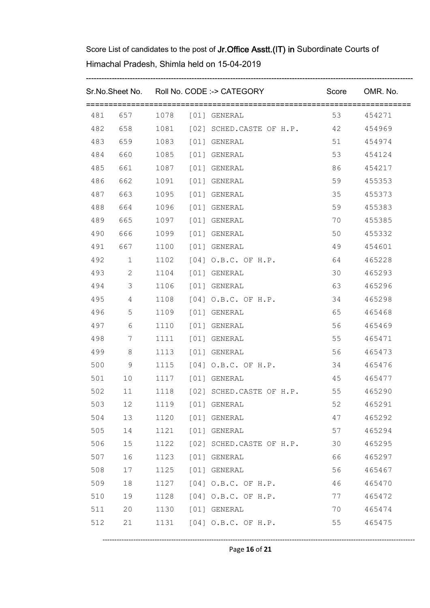|     |                         |      | Sr.No.Sheet No. Roll No. CODE :-> CATEGORY Score OMR. No. |       |           |
|-----|-------------------------|------|-----------------------------------------------------------|-------|-----------|
|     |                         |      | 481 657 1078 [01] GENERAL                                 |       | 53 454271 |
|     |                         |      | 482 658 1081 [02] SCHED.CASTE OF H.P. 42                  |       | 454969    |
| 483 |                         |      | 659 1083 [01] GENERAL                                     | 51    | 454974    |
| 484 | 660                     |      | 1085 [01] GENERAL                                         | 53    | 454124    |
| 485 | 661 1087 [01] GENERAL   |      |                                                           | 86 10 | 454217    |
| 486 | 662                     |      | 1091 [01] GENERAL                                         | 59    | 455353    |
| 487 | 663 1095 [01] GENERAL   |      |                                                           | 35    | 455373    |
| 488 | 664                     |      | 1096 [01] GENERAL                                         | 59    | 455383    |
| 489 | 665                     |      | 1097 [01] GENERAL                                         | 70    | 455385    |
| 490 | 666                     |      | 1099 [01] GENERAL                                         | 50 0  | 455332    |
| 491 | 667                     |      | 1100 [01] GENERAL                                         | 49    | 454601    |
| 492 | 1                       |      | 1102 [04] O.B.C. OF H.P.                                  | 64    | 465228    |
|     | 493 2                   |      | 1104 [01] GENERAL                                         | 30    | 465293    |
| 494 | $\overline{\mathbf{3}}$ |      | 1106 [01] GENERAL                                         |       | 465296    |
| 495 | $4\overline{ }$         |      | 1108 [04] O.B.C. OF H.P.                                  | 34    | 465298    |
| 496 | $5\overline{}$          |      | 1109 [01] GENERAL                                         | 65 10 | 465468    |
| 497 | $6\overline{6}$         |      | 1110 [01] GENERAL                                         | 56 10 | 465469    |
| 498 | $7\overline{)}$         |      | 1111 [01] GENERAL                                         | 55    | 465471    |
| 499 | 8 <sup>8</sup>          |      | 1113 [01] GENERAL                                         | 56 10 | 465473    |
| 500 | 9                       |      | 1115 [04] O.B.C. OF H.P.                                  | 34    | 465476    |
| 501 | 10                      |      | 1117 [01] GENERAL                                         | 45    | 465477    |
|     | 502 11                  |      | 1118 [02] SCHED.CASTE OF H.P. 55                          |       | 465290    |
| 503 | 12                      | 1119 | [01] GENERAL                                              | 52    | 465291    |
| 504 | 13                      | 1120 | [01] GENERAL                                              | 47    | 465292    |
| 505 | 14                      | 1121 | [01] GENERAL                                              | 57    | 465294    |
| 506 | 15                      | 1122 | [02] SCHED.CASTE OF H.P.                                  | 30    | 465295    |
| 507 | 16                      | 1123 | [01] GENERAL                                              | 66    | 465297    |
| 508 | 17                      | 1125 | [01] GENERAL                                              | 56    | 465467    |
| 509 | 18                      | 1127 | $[04]$ O.B.C. OF H.P.                                     | 46    | 465470    |
| 510 | 19                      | 1128 | [04] O.B.C. OF H.P.                                       | 77    | 465472    |
| 511 | 20                      | 1130 | [01] GENERAL                                              | 70    | 465474    |
| 512 | 21                      | 1131 | $[04]$ O.B.C. OF H.P.                                     | 55    | 465475    |

Page **16** of **21**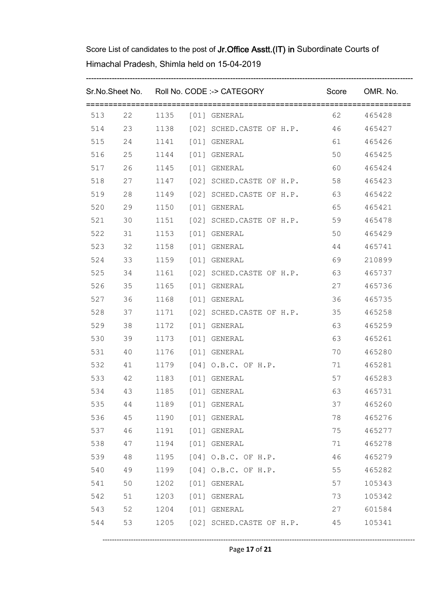|     |        |      | Sr.No.Sheet No. Roll No. CODE :-> CATEGORY Score OMR. No. |         |        |
|-----|--------|------|-----------------------------------------------------------|---------|--------|
|     |        |      | 513 22 1135 [01] GENERAL                                  | 62 0    | 465428 |
|     |        |      | 514 23 1138 [02] SCHED.CASTE OF H.P. 46                   |         | 465427 |
| 515 |        |      | 24 1141 [01] GENERAL                                      | 61 — 10 | 465426 |
| 516 |        |      | 25 1144 [01] GENERAL                                      | 50 0    | 465425 |
|     |        |      | 517  26  1145  [01] GENERAL                               | 60 0    | 465424 |
| 518 | 27     |      | 1147 [02] SCHED.CASTE OF H.P.                             | 58      | 465423 |
| 519 | 28     |      | 1149 [02] SCHED.CASTE OF H.P. 63                          |         | 465422 |
| 520 | 29     |      | 1150 [01] GENERAL                                         | 65      | 465421 |
| 521 | 30     |      | 1151 [02] SCHED.CASTE OF H.P. 59                          |         | 465478 |
| 522 | 31     |      | 1153 [01] GENERAL                                         | 50      | 465429 |
| 523 | 32     |      | 1158 [01] GENERAL                                         | 44      | 465741 |
| 524 | 33     |      | 1159 [01] GENERAL                                         | 69 — 10 | 210899 |
|     | 525 34 |      | 1161 [02] SCHED.CASTE OF H.P. 63                          |         | 465737 |
| 526 | 35     |      | 1165 [01] GENERAL                                         | 27      | 465736 |
|     | 527 36 |      | 1168 [01] GENERAL                                         | 36      | 465735 |
| 528 | 37     |      | 1171 [02] SCHED.CASTE OF H.P.                             | 35      | 465258 |
| 529 | 38     |      | 1172 [01] GENERAL                                         | 63      | 465259 |
| 530 | 39     |      | 1173 [01] GENERAL                                         | 63      | 465261 |
|     | 531 40 |      | 1176 [01] GENERAL                                         | 70      | 465280 |
|     |        |      | 532 41 1179 [04] O.B.C. OF H.P.                           | 71      | 465281 |
|     |        |      | 533  42  1183  [01] GENERAL                               | 57      | 465283 |
|     |        |      | 534  43  1185  [01] GENERAL                               | 63 11   | 465731 |
| 535 | 44     | 1189 | [01] GENERAL                                              | 37      | 465260 |
| 536 | 45     | 1190 | [01] GENERAL                                              | 78      | 465276 |
| 537 | 46     | 1191 | [01] GENERAL                                              | 75      | 465277 |
| 538 | 47     | 1194 | [01] GENERAL                                              | 71      | 465278 |
| 539 | 48     | 1195 | $[04]$ O.B.C. OF H.P.                                     | 46      | 465279 |
| 540 | 49     | 1199 | [04] O.B.C. OF H.P.                                       | 55      | 465282 |
| 541 | 50     | 1202 | [01] GENERAL                                              | 57      | 105343 |
| 542 | 51     | 1203 | [01] GENERAL                                              | 73      | 105342 |
| 543 | 52     | 1204 | [01] GENERAL                                              | 27      | 601584 |
| 544 | 53     | 1205 | [02] SCHED.CASTE OF H.P.                                  | 45      | 105341 |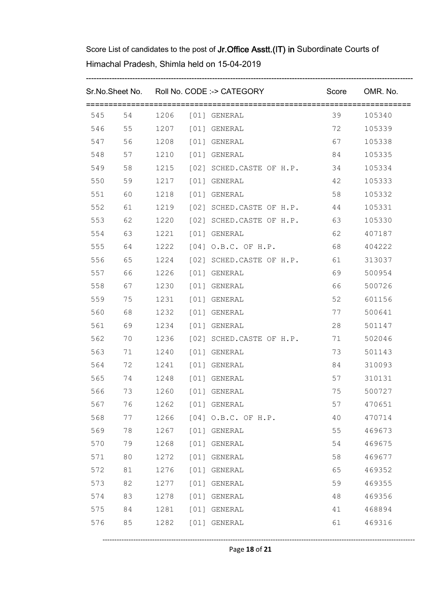|     |        |      |      | Sr.No.Sheet No. Roll No. CODE :-> CATEGORY Score OMR. No. |         |           |
|-----|--------|------|------|-----------------------------------------------------------|---------|-----------|
|     |        |      |      | 545 54 1206 [01] GENERAL                                  | 39      | 105340    |
|     |        |      |      | 546 55 1207 [01] GENERAL                                  | 72      | 105339    |
|     |        |      |      | 547 56 1208 [01] GENERAL                                  | 67 — 10 | 105338    |
| 548 | 57     |      |      | 1210 [01] GENERAL                                         | 84      | 105335    |
| 549 | 58     |      |      | 1215 [02] SCHED.CASTE OF H.P. 34                          |         | 105334    |
| 550 | 59     |      |      | 1217 [01] GENERAL                                         | 42      | 105333    |
| 551 |        |      |      | 60 1218 [01] GENERAL                                      | 58      | 105332    |
| 552 | 61     |      |      | 1219 [02] SCHED.CASTE OF H.P.                             | 44      | 105331    |
| 553 | 62     |      |      | 1220 [02] SCHED.CASTE OF H.P. 63                          |         | 105330    |
| 554 | 63     |      |      | 1221 [01] GENERAL                                         | 62      | 407187    |
| 555 | 64     |      |      | 1222 [04] O.B.C. OF H.P. 68                               |         | 404222    |
| 556 | 65     |      |      | 1224 [02] SCHED.CASTE OF H.P. 61                          |         | 313037    |
|     | 557 66 |      |      | 1226 [01] GENERAL                                         | 69      | 500954    |
| 558 | 67     |      |      | 1230 [01] GENERAL                                         | 66 10   | 500726    |
| 559 | 75     |      |      | 1231 [01] GENERAL                                         | 52 3    | 601156    |
| 560 | 68     |      |      | 1232 [01] GENERAL                                         | 77      | 500641    |
| 561 | 69     |      |      | 1234 [01] GENERAL                                         | 28      | 501147    |
| 562 | 70     |      |      | 1236 [02] SCHED.CASTE OF H.P.                             | 71      | 502046    |
| 563 | 71     |      |      | 1240 [01] GENERAL                                         | 73      | 501143    |
|     | 564 72 |      |      | 1241 [01] GENERAL                                         | 84      | 310093    |
|     |        |      |      | 565 74 1248 [01] GENERAL                                  | 57      | 310131    |
| 566 |        |      |      | 73 1260 [01] GENERAL                                      |         | 75 500727 |
| 567 | 76     | 1262 |      | [01] GENERAL                                              | 57      | 470651    |
| 568 | 77     | 1266 |      | [04] O.B.C. OF H.P.                                       | 40      | 470714    |
| 569 | 78     | 1267 |      | [01] GENERAL                                              | 55      | 469673    |
| 570 | 79     | 1268 | [01] | GENERAL                                                   | 54      | 469675    |
| 571 | 80     | 1272 | [01] | GENERAL                                                   | 58      | 469677    |
| 572 | 81     | 1276 | [01] | GENERAL                                                   | 65      | 469352    |
| 573 | 82     | 1277 |      | [01] GENERAL                                              | 59      | 469355    |
| 574 | 83     | 1278 | [01] | GENERAL                                                   | 48      | 469356    |
| 575 | 84     | 1281 |      | [01] GENERAL                                              | 41      | 468894    |
| 576 | 85     | 1282 |      | [01] GENERAL                                              | 61      | 469316    |

Page **18** of **21**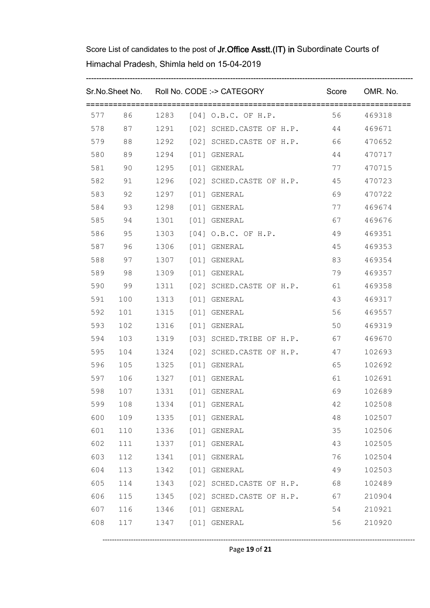| Sr.No.Sheet No. Roll No. CODE :-> CATEGORY |                           |      |      | Score OMR. No.                          |         |           |
|--------------------------------------------|---------------------------|------|------|-----------------------------------------|---------|-----------|
|                                            |                           |      |      | 577 86 1283 [04] O.B.C. OF H.P.         |         | 56 469318 |
|                                            |                           |      |      | 578 87 1291 [02] SCHED.CASTE OF H.P. 44 |         | 469671    |
| 579                                        | 88                        |      |      | 1292 [02] SCHED.CASTE OF H.P. 66        |         | 470652    |
| 580                                        | 89                        |      |      | 1294 [01] GENERAL                       | 44      | 470717    |
| 581                                        | 90                        |      |      | 1295 [01] GENERAL                       | 77      | 470715    |
| 582                                        | 91                        |      |      | 1296 [02] SCHED.CASTE OF H.P.           | 45      | 470723    |
| 583                                        | 92                        |      |      | 1297 [01] GENERAL                       | 69      | 470722    |
| 584                                        | 93                        |      |      | 1298 [01] GENERAL                       | 77      | 469674    |
| 585                                        | 94                        |      |      | 1301 [01] GENERAL                       | 67 — 10 | 469676    |
| 586                                        | 95                        |      |      | 1303 [04] O.B.C. OF H.P.                | 49      | 469351    |
| 587                                        | 96                        |      |      | 1306 [01] GENERAL                       | 45      | 469353    |
| 588                                        | 97                        |      |      | 1307 [01] GENERAL                       | 83      | 469354    |
| 589                                        | 98                        |      |      | 1309 [01] GENERAL                       | 79      | 469357    |
| 590                                        | 99                        |      |      | 1311 [02] SCHED.CASTE OF H.P. 61        |         | 469358    |
|                                            | 591 100                   |      |      | 1313 [01] GENERAL                       | 43      | 469317    |
| 592                                        | 101                       |      |      | 1315 [01] GENERAL                       | 56 0    | 469557    |
| 593                                        | 102                       |      |      | 1316 [01] GENERAL                       | 50      | 469319    |
| 594                                        | 103                       |      |      | 1319 [03] SCHED.TRIBE OF H.P.           | 67      | 469670    |
| 595                                        | 104                       |      |      | 1324 [02] SCHED.CASTE OF H.P.           | 47      | 102693    |
| 596                                        | 105                       |      |      | 1325 [01] GENERAL                       | 65      | 102692    |
|                                            | 597 106 1327 [01] GENERAL |      |      |                                         | 61 0    | 102691    |
| 598                                        | 107 1331 [01] GENERAL     |      |      |                                         | 69      | 102689    |
| 599                                        | 108                       | 1334 |      | [01] GENERAL                            | 42      | 102508    |
| 600                                        | 109                       | 1335 |      | [01] GENERAL                            | 48      | 102507    |
| 601                                        | 110                       | 1336 |      | [01] GENERAL                            | 35      | 102506    |
| 602                                        | 111                       | 1337 | [01] | GENERAL                                 | 43      | 102505    |
| 603                                        | 112                       | 1341 | [01] | GENERAL                                 | 76      | 102504    |
| 604                                        | 113                       | 1342 | [01] | GENERAL                                 | 49      | 102503    |
| 605                                        | 114                       | 1343 |      | [02] SCHED.CASTE OF H.P.                | 68      | 102489    |
| 606                                        | 115                       | 1345 | [02] | SCHED. CASTE OF H.P.                    | 67      | 210904    |
| 607                                        | 116                       | 1346 |      | [01] GENERAL                            | 54      | 210921    |
| 608                                        | 117                       | 1347 |      | [01] GENERAL                            | 56      | 210920    |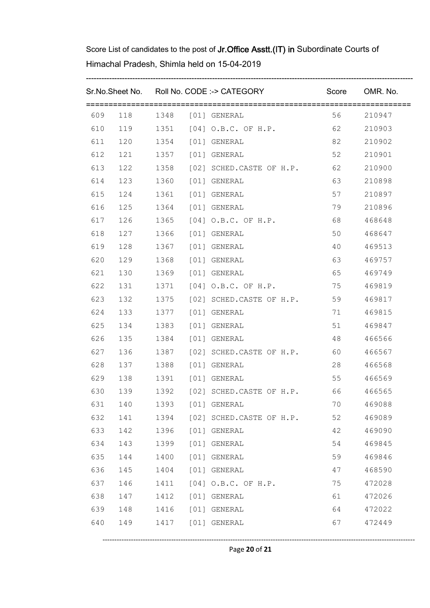|     |     |      | Sr.No.Sheet No. Roll No. CODE :-> CATEGORY Score OMR. No. |         |        |
|-----|-----|------|-----------------------------------------------------------|---------|--------|
|     |     |      | 609 118 1348 [01] GENERAL                                 | 56 10   | 210947 |
|     |     |      | 610 119 1351 [04] O.B.C. OF H.P. 62                       |         | 210903 |
|     |     |      | 611 120 1354 [01] GENERAL                                 | 82      | 210902 |
| 612 |     |      | 121   1357   [01] GENERAL                                 | 52      | 210901 |
|     |     |      | 613 122 1358 [02] SCHED.CASTE OF H.P. 62                  |         | 210900 |
| 614 |     |      | 123 1360 [01] GENERAL                                     | 63      | 210898 |
|     |     |      | 615  124  1361  [01] GENERAL                              | 57      | 210897 |
| 616 |     |      | 125 1364 [01] GENERAL                                     | 79      | 210896 |
| 617 |     |      | 126 1365 [04] O.B.C. OF H.P.                              | 68 — 10 | 468648 |
| 618 | 127 |      | 1366 [01] GENERAL                                         | 50      | 468647 |
| 619 |     |      | 128   1367   [01] GENERAL                                 | 40      | 469513 |
| 620 | 129 |      | 1368 [01] GENERAL                                         | 63 — 10 | 469757 |
| 621 |     |      | 130 1369 [01] GENERAL                                     | 65 0    | 469749 |
| 622 | 131 |      | 1371 [04] O.B.C. OF H.P.                                  | 75      | 469819 |
| 623 |     |      | 132 1375 [02] SCHED.CASTE OF H.P. 59                      |         | 469817 |
| 624 |     |      | 133 1377 [01] GENERAL                                     | 71      | 469815 |
| 625 |     |      | 134 1383 [01] GENERAL                                     | 51      | 469847 |
| 626 |     |      | 135 1384 [01] GENERAL                                     | 48      | 466566 |
| 627 |     |      | 136 1387 [02] SCHED.CASTE OF H.P. 60                      |         | 466567 |
| 628 |     |      | 137 1388 [01] GENERAL                                     | 28      | 466568 |
| 629 |     |      | 138 1391 [01] GENERAL                                     | 55      | 466569 |
| 630 |     |      | 139   1392   [02] SCHED.CASTE OF H.P.   66                |         | 466565 |
| 631 | 140 | 1393 | [01] GENERAL                                              | 70      | 469088 |
| 632 | 141 | 1394 | [02] SCHED.CASTE OF H.P.                                  | 52      | 469089 |
| 633 | 142 | 1396 | [01] GENERAL                                              | 42      | 469090 |
| 634 | 143 | 1399 | [01] GENERAL                                              | 54      | 469845 |
| 635 | 144 | 1400 | [01] GENERAL                                              | 59      | 469846 |
| 636 | 145 | 1404 | [01] GENERAL                                              | 47      | 468590 |
| 637 | 146 | 1411 | [04] O.B.C. OF H.P.                                       | 75      | 472028 |
| 638 | 147 | 1412 | [01] GENERAL                                              | 61      | 472026 |
| 639 | 148 | 1416 | [01] GENERAL                                              | 64      | 472022 |
| 640 | 149 | 1417 | [01] GENERAL                                              | 67      | 472449 |